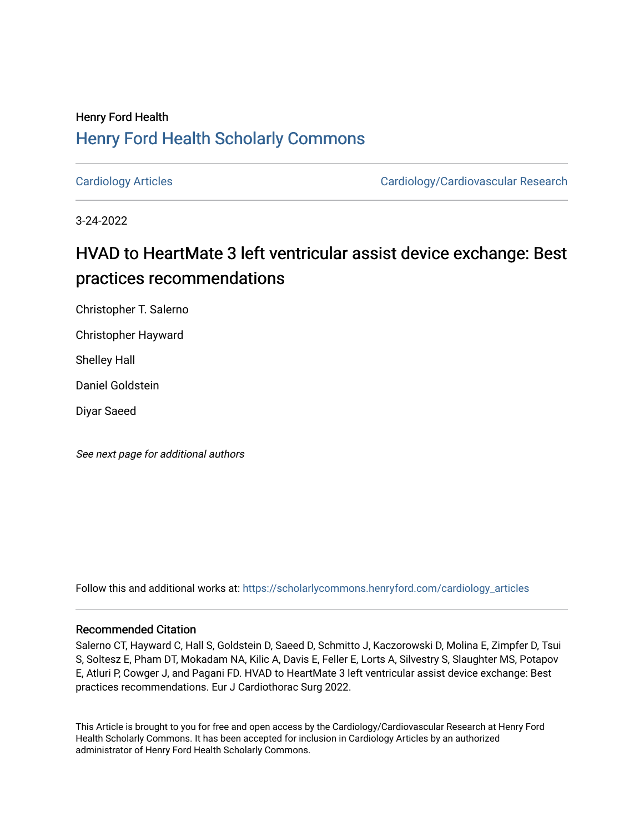## Henry Ford Health [Henry Ford Health Scholarly Commons](https://scholarlycommons.henryford.com/)

[Cardiology Articles](https://scholarlycommons.henryford.com/cardiology_articles) [Cardiology/Cardiovascular Research](https://scholarlycommons.henryford.com/cardiology) 

3-24-2022

# HVAD to HeartMate 3 left ventricular assist device exchange: Best practices recommendations

Christopher T. Salerno

Christopher Hayward

Shelley Hall

Daniel Goldstein

Diyar Saeed

See next page for additional authors

Follow this and additional works at: [https://scholarlycommons.henryford.com/cardiology\\_articles](https://scholarlycommons.henryford.com/cardiology_articles?utm_source=scholarlycommons.henryford.com%2Fcardiology_articles%2F896&utm_medium=PDF&utm_campaign=PDFCoverPages)

## Recommended Citation

Salerno CT, Hayward C, Hall S, Goldstein D, Saeed D, Schmitto J, Kaczorowski D, Molina E, Zimpfer D, Tsui S, Soltesz E, Pham DT, Mokadam NA, Kilic A, Davis E, Feller E, Lorts A, Silvestry S, Slaughter MS, Potapov E, Atluri P, Cowger J, and Pagani FD. HVAD to HeartMate 3 left ventricular assist device exchange: Best practices recommendations. Eur J Cardiothorac Surg 2022.

This Article is brought to you for free and open access by the Cardiology/Cardiovascular Research at Henry Ford Health Scholarly Commons. It has been accepted for inclusion in Cardiology Articles by an authorized administrator of Henry Ford Health Scholarly Commons.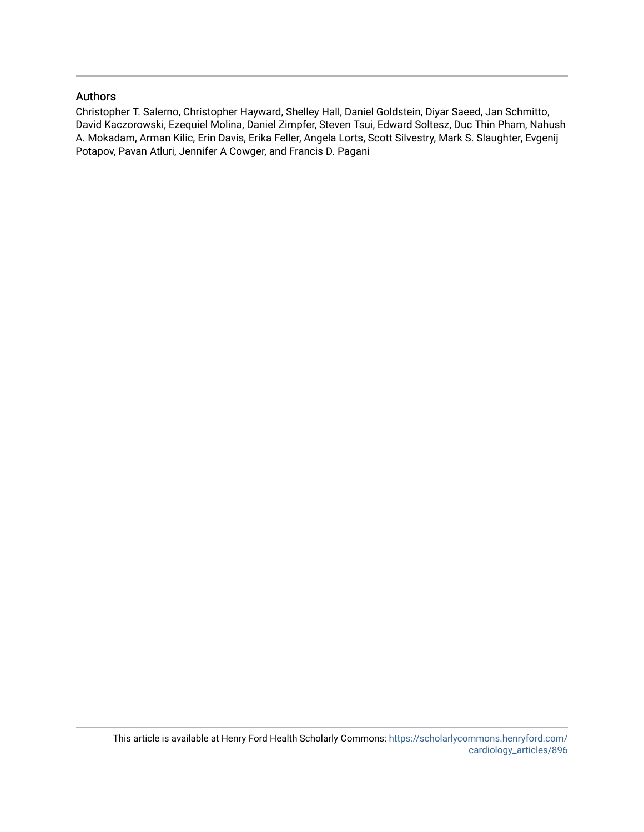## Authors

Christopher T. Salerno, Christopher Hayward, Shelley Hall, Daniel Goldstein, Diyar Saeed, Jan Schmitto, David Kaczorowski, Ezequiel Molina, Daniel Zimpfer, Steven Tsui, Edward Soltesz, Duc Thin Pham, Nahush A. Mokadam, Arman Kilic, Erin Davis, Erika Feller, Angela Lorts, Scott Silvestry, Mark S. Slaughter, Evgenij Potapov, Pavan Atluri, Jennifer A Cowger, and Francis D. Pagani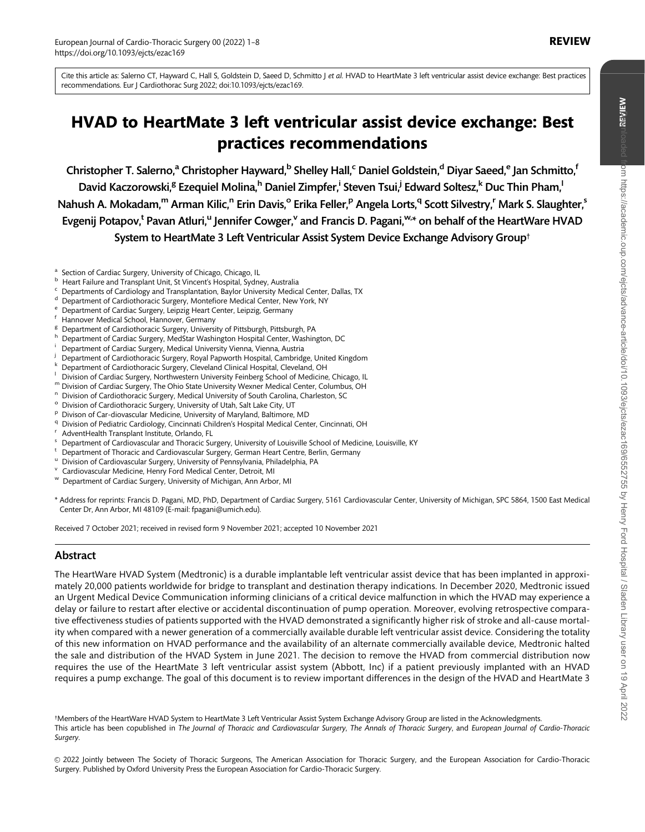Cite this article as: Salerno CT, Hayward C, Hall S, Goldstein D, Saeed D, Schmitto J et al. HVAD to HeartMate 3 left ventricular assist device exchange: Best practices recommendations. Eur J Cardiothorac Surg 2022; doi:10.1093/ejcts/ezac169.

## HVAD to HeartMate 3 left ventricular assist device exchange: Best practices recommendations

Christopher T. Salerno,<sup>a</sup> Christopher Hayward,<sup>b</sup> Shelley Hall,<sup>c</sup> Daniel Goldstein,<sup>d</sup> Diyar Saeed,<sup>e</sup> Jan Schmitto,<sup>f</sup> David Kaczorowski,<sup>g</sup> Ezequiel Molina,<sup>h</sup> Daniel Zimpfer,<sup>i</sup> Steven Tsui,<sup>j</sup> Edward Soltesz,<sup>k</sup> Duc Thin Pham,<sup>l</sup> Nahush A. Mokadam,<sup>m</sup> Arman Kilic,<sup>n</sup> Erin Davis,<sup>o</sup> Erika Feller,<sup>p</sup> Angela Lorts,<sup>q</sup> Scott Silvestry,<sup>r</sup> Mark S. Slaughter,<sup>s</sup> Evgenij Potapov,<sup>t</sup> Pavan Atluri,<sup>u</sup> Jennifer Cowger,<sup>v</sup> and Francis D. Pagani,<sup>w,</sup>\* on behalf of the HeartWare HVAD System to HeartMate 3 Left Ventricular Assist System Device Exchange Advisory Group†

- a Section of Cardiac Surgery, University of Chicago, Chicago, IL<br>
b Heart Failure and Transplant Unit, St Vincent's Hospital, Sydney, Australia<br>
c Departments of Cardiology and Transplantation, Baylor University Medical Ce
- 
- 
- 
- 
- 
- 
- 
- 
- 
- 
- 
- 
- 
- 
- 
- Framework of Cardiothoracic Surgery, Royal Papworth Hospital, Cambridge, United Kingdom<br>
K Department of Cardiothoracic Surgery, Cleveland Clinical Hospital, Cleveland, OH<br>
T Division of Cardiac Surgery, Northwestern Unive
- 
- 
- 
- 
- \* Address for reprints: Francis D. Pagani, MD, PhD, Department of Cardiac Surgery, 5161 Cardiovascular Center, University of Michigan, SPC 5864, 1500 East Medical Center Dr, Ann Arbor, MI 48109 (E-mail: fpagani@umich.edu).

Received 7 October 2021; received in revised form 9 November 2021; accepted 10 November 2021

## Abstract

The HeartWare HVAD System (Medtronic) is a durable implantable left ventricular assist device that has been implanted in approximately 20,000 patients worldwide for bridge to transplant and destination therapy indications. In December 2020, Medtronic issued an Urgent Medical Device Communication informing clinicians of a critical device malfunction in which the HVAD may experience a delay or failure to restart after elective or accidental discontinuation of pump operation. Moreover, evolving retrospective comparative effectiveness studies of patients supported with the HVAD demonstrated a significantly higher risk of stroke and all-cause mortality when compared with a newer generation of a commercially available durable left ventricular assist device. Considering the totality of this new information on HVAD performance and the availability of an alternate commercially available device, Medtronic halted the sale and distribution of the HVAD System in June 2021. The decision to remove the HVAD from commercial distribution now requires the use of the HeartMate 3 left ventricular assist system (Abbott, Inc) if a patient previously implanted with an HVAD requires a pump exchange. The goal of this document is to review important differences in the design of the HVAD and HeartMate 3

†Members of the HeartWare HVAD System to HeartMate 3 Left Ventricular Assist System Exchange Advisory Group are listed in the Acknowledgments. This article has been copublished in The Journal of Thoracic and Cardiovascular Surgery, The Annals of Thoracic Surgery, and European Journal of Cardio-Thoracic Suraerv.

 $©$  2022 Jointly between The Society of Thoracic Surgeons, The American Association for Thoracic Surgery, and the European Association for Cardio-Thoracic Surgery. Published by Oxford University Press the European Association for Cardio-Thoracic Surgery.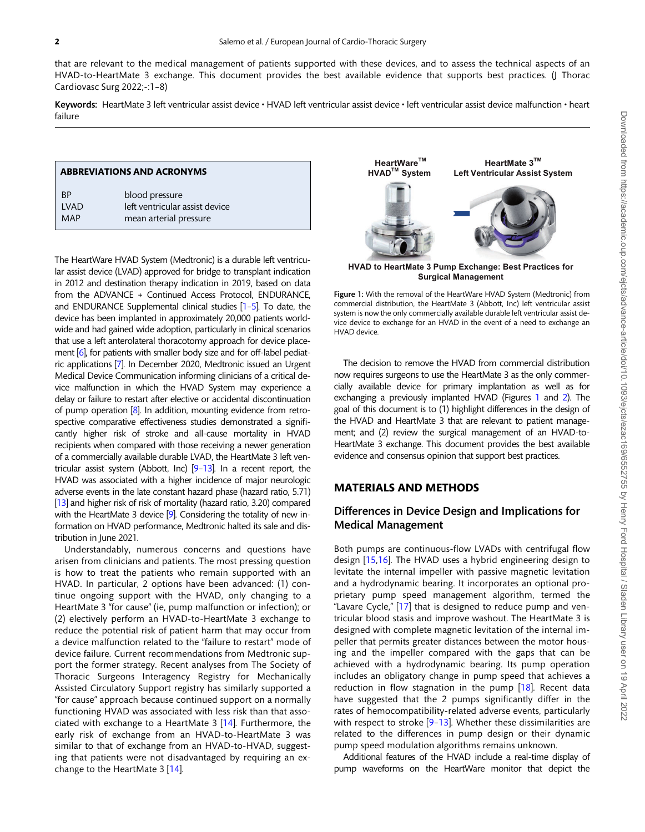<span id="page-3-0"></span>that are relevant to the medical management of patients supported with these devices, and to assess the technical aspects of an HVAD-to-HeartMate 3 exchange. This document provides the best available evidence that supports best practices. (J Thorac Cardiovasc Surg 2022;-:1–8)

Keywords: HeartMate 3 left ventricular assist device • HVAD left ventricular assist device • left ventricular assist device malfunction • heart failure

#### ABBREVIATIONS AND ACRONYMS

| <b>BP</b> | blood pressure                 |
|-----------|--------------------------------|
| I VAD     | left ventricular assist device |
| MAP       | mean arterial pressure         |

The HeartWare HVAD System (Medtronic) is a durable left ventricular assist device (LVAD) approved for bridge to transplant indication in 2012 and destination therapy indication in 2019, based on data from the ADVANCE + Continued Access Protocol, ENDURANCE, and ENDURANCE Supplemental clinical studies [\[1–5](#page-9-0)]. To date, the device has been implanted in approximately 20,000 patients worldwide and had gained wide adoption, particularly in clinical scenarios that use a left anterolateral thoracotomy approach for device place-ment [\[6](#page-9-0)], for patients with smaller body size and for off-label pediatric applications [\[7](#page-9-0)]. In December 2020, Medtronic issued an Urgent Medical Device Communication informing clinicians of a critical device malfunction in which the HVAD System may experience a delay or failure to restart after elective or accidental discontinuation of pump operation [\[8\]](#page-9-0). In addition, mounting evidence from retrospective comparative effectiveness studies demonstrated a significantly higher risk of stroke and all-cause mortality in HVAD recipients when compared with those receiving a newer generation of a commercially available durable LVAD, the HeartMate 3 left ventricular assist system (Abbott, Inc) [\[9–13](#page-9-0)]. In a recent report, the HVAD was associated with a higher incidence of major neurologic adverse events in the late constant hazard phase (hazard ratio, 5.71) [\[13\]](#page-9-0) and higher risk of risk of mortality (hazard ratio, 3.20) compared with the HeartMate 3 device [\[9\]](#page-9-0). Considering the totality of new information on HVAD performance, Medtronic halted its sale and distribution in June 2021.

Understandably, numerous concerns and questions have arisen from clinicians and patients. The most pressing question is how to treat the patients who remain supported with an HVAD. In particular, 2 options have been advanced: (1) continue ongoing support with the HVAD, only changing to a HeartMate 3 "for cause" (ie, pump malfunction or infection); or (2) electively perform an HVAD-to-HeartMate 3 exchange to reduce the potential risk of patient harm that may occur from a device malfunction related to the "failure to restart" mode of device failure. Current recommendations from Medtronic support the former strategy. Recent analyses from The Society of Thoracic Surgeons Interagency Registry for Mechanically Assisted Circulatory Support registry has similarly supported a "for cause" approach because continued support on a normally functioning HVAD was associated with less risk than that associated with exchange to a HeartMate 3 [[14](#page-9-0)]. Furthermore, the early risk of exchange from an HVAD-to-HeartMate 3 was similar to that of exchange from an HVAD-to-HVAD, suggesting that patients were not disadvantaged by requiring an exchange to the HeartMate 3 [[14](#page-9-0)].



**Hyang Surgical Management Surgical Management**

Figure 1: With the removal of the HeartWare HVAD System (Medtronic) from commercial distribution, the HeartMate 3 (Abbott, Inc) left ventricular assist system is now the only commercially available durable left ventricular assist device device to exchange for an HVAD in the event of a need to exchange an HVAD device.

The decision to remove the HVAD from commercial distribution now requires surgeons to use the HeartMate 3 as the only commercially available device for primary implantation as well as for exchanging a previously implanted HVAD (Figures 1 and [2\)](#page-4-0). The goal of this document is to (1) highlight differences in the design of the HVAD and HeartMate 3 that are relevant to patient management; and (2) review the surgical management of an HVAD-to-HeartMate 3 exchange. This document provides the best available evidence and consensus opinion that support best practices.

## MATERIALS AND METHODS

## Differences in Device Design and Implications for Medical Management

Both pumps are continuous-flow LVADs with centrifugal flow design [\[15](#page-9-0),[16\]](#page-9-0). The HVAD uses a hybrid engineering design to levitate the internal impeller with passive magnetic levitation and a hydrodynamic bearing. It incorporates an optional proprietary pump speed management algorithm, termed the "Lavare Cycle," [[17](#page-9-0)] that is designed to reduce pump and ventricular blood stasis and improve washout. The HeartMate 3 is designed with complete magnetic levitation of the internal impeller that permits greater distances between the motor housing and the impeller compared with the gaps that can be achieved with a hydrodynamic bearing. Its pump operation includes an obligatory change in pump speed that achieves a reduction in flow stagnation in the pump [[18](#page-9-0)]. Recent data have suggested that the 2 pumps significantly differ in the rates of hemocompatibility-related adverse events, particularly with respect to stroke  $[9-13]$  $[9-13]$  $[9-13]$  $[9-13]$ . Whether these dissimilarities are related to the differences in pump design or their dynamic pump speed modulation algorithms remains unknown.

Additional features of the HVAD include a real-time display of pump waveforms on the HeartWare monitor that depict the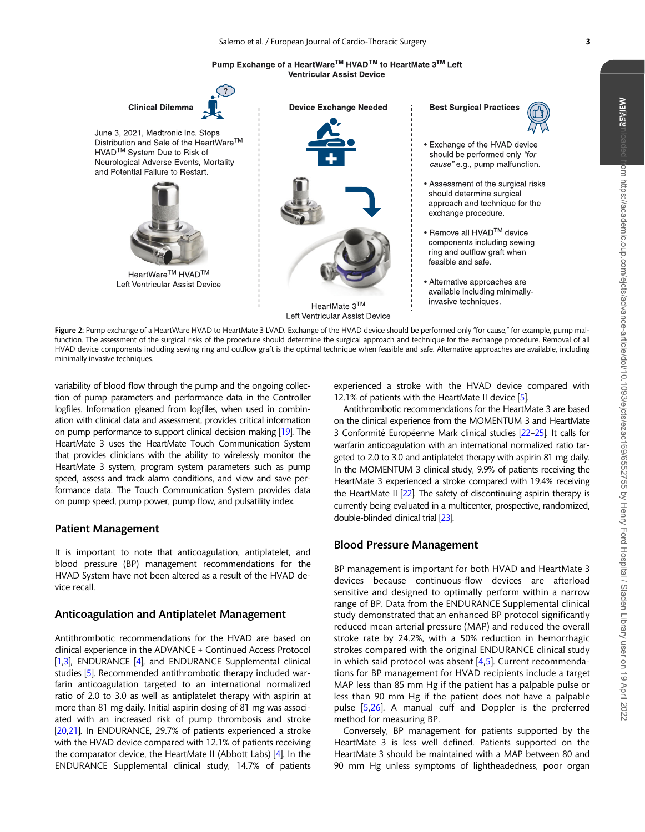Pump Exchange of a HeartWare™ HVAD™ to HeartMate 3™ Left **Ventricular Assist Device** 

<span id="page-4-0"></span>

Figure 2: Pump exchange of a HeartWare HVAD to HeartMate 3 LVAD. Exchange of the HVAD device should be performed only "for cause," for example, pump malfunction. The assessment of the surgical risks of the procedure should determine the surgical approach and technique for the exchange procedure. Removal of all HVAD device components including sewing ring and outflow graft is the optimal technique when feasible and safe. Alternative approaches are available, including minimally invasive techniques.

variability of blood flow through the pump and the ongoing collection of pump parameters and performance data in the Controller logfiles. Information gleaned from logfiles, when used in combination with clinical data and assessment, provides critical information on pump performance to support clinical decision making [[19\]](#page-9-0). The HeartMate 3 uses the HeartMate Touch Communication System that provides clinicians with the ability to wirelessly monitor the HeartMate 3 system, program system parameters such as pump speed, assess and track alarm conditions, and view and save performance data. The Touch Communication System provides data on pump speed, pump power, pump flow, and pulsatility index.

## Patient Management

It is important to note that anticoagulation, antiplatelet, and blood pressure (BP) management recommendations for the HVAD System have not been altered as a result of the HVAD device recall.

## Anticoagulation and Antiplatelet Management

Antithrombotic recommendations for the HVAD are based on clinical experience in the ADVANCE + Continued Access Protocol [\[1,3](#page-9-0)], ENDURANCE [\[4\]](#page-9-0), and ENDURANCE Supplemental clinical studies [\[5\]](#page-9-0). Recommended antithrombotic therapy included warfarin anticoagulation targeted to an international normalized ratio of 2.0 to 3.0 as well as antiplatelet therapy with aspirin at more than 81 mg daily. Initial aspirin dosing of 81 mg was associated with an increased risk of pump thrombosis and stroke [\[20,21](#page-9-0)]. In ENDURANCE, 29.7% of patients experienced a stroke with the HVAD device compared with 12.1% of patients receiving the comparator device, the HeartMate II (Abbott Labs) [[4](#page-9-0)]. In the ENDURANCE Supplemental clinical study, 14.7% of patients experienced a stroke with the HVAD device compared with 12.1% of patients with the HeartMate II device [[5](#page-9-0)].

Antithrombotic recommendations for the HeartMate 3 are based on the clinical experience from the MOMENTUM 3 and HeartMate 3 Conformité Européenne Mark clinical studies [22-25]. It calls for warfarin anticoagulation with an international normalized ratio targeted to 2.0 to 3.0 and antiplatelet therapy with aspirin 81 mg daily. In the MOMENTUM 3 clinical study, 9.9% of patients receiving the HeartMate 3 experienced a stroke compared with 19.4% receiving the HeartMate II [\[22](#page-9-0)]. The safety of discontinuing aspirin therapy is currently being evaluated in a multicenter, prospective, randomized, double-blinded clinical trial [\[23\]](#page-9-0).

### Blood Pressure Management

BP management is important for both HVAD and HeartMate 3 devices because continuous-flow devices are afterload sensitive and designed to optimally perform within a narrow range of BP. Data from the ENDURANCE Supplemental clinical study demonstrated that an enhanced BP protocol significantly reduced mean arterial pressure (MAP) and reduced the overall stroke rate by 24.2%, with a 50% reduction in hemorrhagic strokes compared with the original ENDURANCE clinical study in which said protocol was absent  $[4,5]$  $[4,5]$  $[4,5]$ . Current recommendations for BP management for HVAD recipients include a target MAP less than 85 mm Hg if the patient has a palpable pulse or less than 90 mm Hg if the patient does not have a palpable pulse [\[5](#page-9-0),[26\]](#page-9-0). A manual cuff and Doppler is the preferred method for measuring BP.

Conversely, BP management for patients supported by the HeartMate 3 is less well defined. Patients supported on the HeartMate 3 should be maintained with a MAP between 80 and 90 mm Hg unless symptoms of lightheadedness, poor organ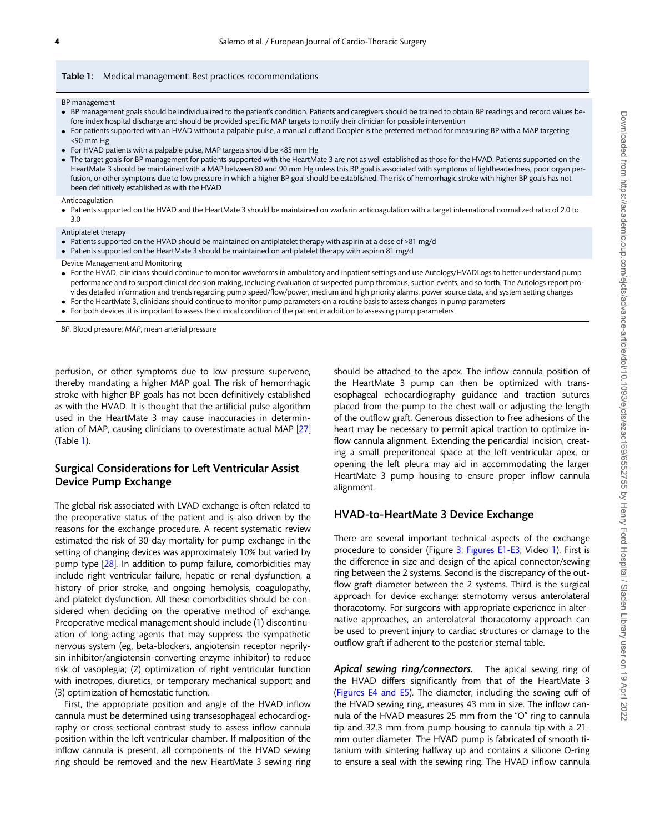#### <span id="page-5-0"></span>Table 1: Medical management: Best practices recommendations

BP management

- BP management goals should be individualized to the patient's condition. Patients and caregivers should be trained to obtain BP readings and record values before index hospital discharge and should be provided specific MAP targets to notify their clinician for possible intervention
- For patients supported with an HVAD without a palpable pulse, a manual cuff and Doppler is the preferred method for measuring BP with a MAP targeting <90 mm Hg
- For HVAD patients with a palpable pulse, MAP targets should be <85 mm Hg
- The target goals for BP management for patients supported with the HeartMate 3 are not as well established as those for the HVAD. Patients supported on the HeartMate 3 should be maintained with a MAP between 80 and 90 mm Hg unless this BP goal is associated with symptoms of lightheadedness, poor organ perfusion, or other symptoms due to low pressure in which a higher BP goal should be established. The risk of hemorrhagic stroke with higher BP goals has not been definitively established as with the HVAD

Anticoagulation

• Patients supported on the HVAD and the HeartMate 3 should be maintained on warfarin anticoagulation with a target international normalized ratio of 2.0 to 3.0

Antiplatelet therapy

- Patients supported on the HVAD should be maintained on antiplatelet therapy with aspirin at a dose of >81 mg/d
- Patients supported on the HeartMate 3 should be maintained on antiplatelet therapy with aspirin 81 mg/d

Device Management and Monitoring

- For the HVAD, clinicians should continue to monitor waveforms in ambulatory and inpatient settings and use Autologs/HVADLogs to better understand pump performance and to support clinical decision making, including evaluation of suspected pump thrombus, suction events, and so forth. The Autologs report provides detailed information and trends regarding pump speed/flow/power, medium and high priority alarms, power source data, and system setting changes
- For the HeartMate 3, clinicians should continue to monitor pump parameters on a routine basis to assess changes in pump parameters
- For both devices, it is important to assess the clinical condition of the patient in addition to assessing pump parameters

BP, Blood pressure; MAP, mean arterial pressure

perfusion, or other symptoms due to low pressure supervene, thereby mandating a higher MAP goal. The risk of hemorrhagic stroke with higher BP goals has not been definitively established as with the HVAD. It is thought that the artificial pulse algorithm used in the HeartMate 3 may cause inaccuracies in determination of MAP, causing clinicians to overestimate actual MAP [[27](#page-9-0)] (Table 1).

## Surgical Considerations for Left Ventricular Assist Device Pump Exchange

The global risk associated with LVAD exchange is often related to the preoperative status of the patient and is also driven by the reasons for the exchange procedure. A recent systematic review estimated the risk of 30-day mortality for pump exchange in the setting of changing devices was approximately 10% but varied by pump type [[28](#page-9-0)]. In addition to pump failure, comorbidities may include right ventricular failure, hepatic or renal dysfunction, a history of prior stroke, and ongoing hemolysis, coagulopathy, and platelet dysfunction. All these comorbidities should be considered when deciding on the operative method of exchange. Preoperative medical management should include (1) discontinuation of long-acting agents that may suppress the sympathetic nervous system (eg, beta-blockers, angiotensin receptor neprilysin inhibitor/angiotensin-converting enzyme inhibitor) to reduce risk of vasoplegia; (2) optimization of right ventricular function with inotropes, diuretics, or temporary mechanical support; and (3) optimization of hemostatic function.

First, the appropriate position and angle of the HVAD inflow cannula must be determined using transesophageal echocardiography or cross-sectional contrast study to assess inflow cannula position within the left ventricular chamber. If malposition of the inflow cannula is present, all components of the HVAD sewing ring should be removed and the new HeartMate 3 sewing ring

should be attached to the apex. The inflow cannula position of the HeartMate 3 pump can then be optimized with transesophageal echocardiography guidance and traction sutures placed from the pump to the chest wall or adjusting the length of the outflow graft. Generous dissection to free adhesions of the heart may be necessary to permit apical traction to optimize inflow cannula alignment. Extending the pericardial incision, creating a small preperitoneal space at the left ventricular apex, or opening the left pleura may aid in accommodating the larger HeartMate 3 pump housing to ensure proper inflow cannula alignment.

#### HVAD-to-HeartMate 3 Device Exchange

There are several important technical aspects of the exchange procedure to consider (Figure [3](#page-6-0); [Figures E1-E3;](https://academic.oup.com/ejcts/article-lookup/doi/10.1093/ejcts/ezac169#supplementary-data) Video [1](#page-6-0)). First is the difference in size and design of the apical connector/sewing ring between the 2 systems. Second is the discrepancy of the outflow graft diameter between the 2 systems. Third is the surgical approach for device exchange: sternotomy versus anterolateral thoracotomy. For surgeons with appropriate experience in alternative approaches, an anterolateral thoracotomy approach can be used to prevent injury to cardiac structures or damage to the outflow graft if adherent to the posterior sternal table.

Apical sewing ring/connectors. The apical sewing ring of the HVAD differs significantly from that of the HeartMate 3 ([Figures E4 and E5\)](https://academic.oup.com/ejcts/article-lookup/doi/10.1093/ejcts/ezac169#supplementary-data). The diameter, including the sewing cuff of the HVAD sewing ring, measures 43 mm in size. The inflow cannula of the HVAD measures 25 mm from the "O" ring to cannula tip and 32.3 mm from pump housing to cannula tip with a 21 mm outer diameter. The HVAD pump is fabricated of smooth titanium with sintering halfway up and contains a silicone O-ring to ensure a seal with the sewing ring. The HVAD inflow cannula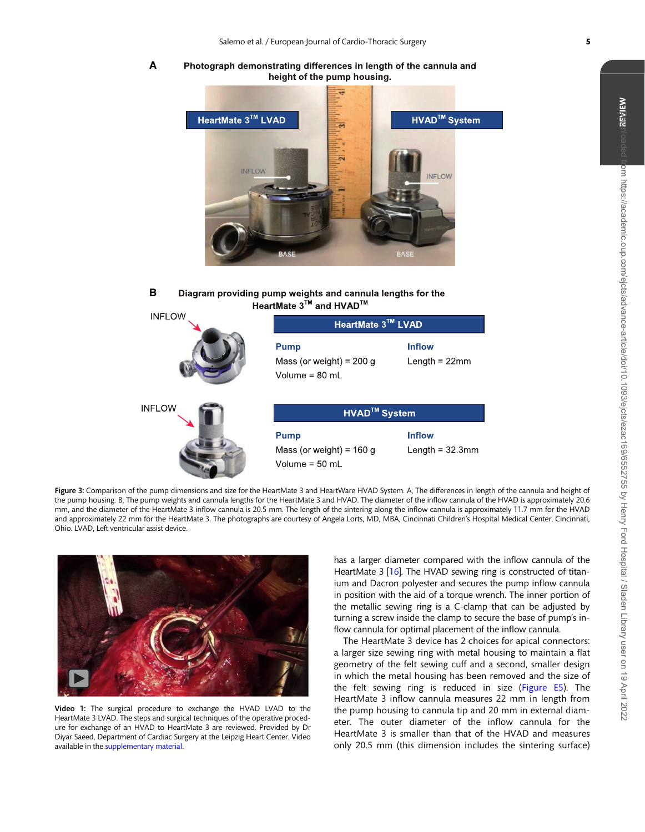<span id="page-6-0"></span>**A** Photograph demonstrating differences in length of the cannula and height of the pump housing.



#### **B** Diagram providing pump weights and cannula lengths for the HeartMate  $3^{\text{TM}}$  and HVAD<sup>™</sup>  $\overline{111}$

| <b>INFLOW</b> | HeartMate 3™ LVAD                                                     |                                     |
|---------------|-----------------------------------------------------------------------|-------------------------------------|
|               | <b>Pump</b><br>Mass (or weight) = $200 g$<br>Volume = $80 \text{ ml}$ | <b>Inflow</b><br>Length = $22$ mm   |
| <b>INFLOW</b> | <b>HVAD<sup>™</sup> System</b>                                        |                                     |
|               | <b>Pump</b><br>Mass (or weight) = $160 g$<br>Volume = $50$ mL         | <b>Inflow</b><br>Length = $32.3$ mm |

Figure 3: Comparison of the pump dimensions and size for the HeartMate 3 and HeartWare HVAD System. A, The differences in length of the cannula and height of the pump housing. B, The pump weights and cannula lengths for the HeartMate 3 and HVAD. The diameter of the inflow cannula of the HVAD is approximately 20.6 mm, and the diameter of the HeartMate 3 inflow cannula is 20.5 mm. The length of the sintering along the inflow cannula is approximately 11.7 mm for the HVAD and approximately 22 mm for the HeartMate 3. The photographs are courtesy of Angela Lorts, MD, MBA, Cincinnati Children's Hospital Medical Center, Cincinnati, Ohio. LVAD, Left ventricular assist device.



Video 1: The surgical procedure to exchange the HVAD LVAD to the HeartMate 3 LVAD. The steps and surgical techniques of the operative procedure for exchange of an HVAD to HeartMate 3 are reviewed. Provided by Dr Diyar Saeed, Department of Cardiac Surgery at the Leipzig Heart Center. Video available in the [supplementary material](https://academic.oup.com/ejcts/article-lookup/doi/10.1093/ejcts/ezac169#supplementary-data).

has a larger diameter compared with the inflow cannula of the HeartMate 3 [[16\]](#page-9-0). The HVAD sewing ring is constructed of titanium and Dacron polyester and secures the pump inflow cannula in position with the aid of a torque wrench. The inner portion of the metallic sewing ring is a C-clamp that can be adjusted by turning a screw inside the clamp to secure the base of pump's inflow cannula for optimal placement of the inflow cannula.

The HeartMate 3 device has 2 choices for apical connectors: a larger size sewing ring with metal housing to maintain a flat geometry of the felt sewing cuff and a second, smaller design in which the metal housing has been removed and the size of the felt sewing ring is reduced in size ([Figure E5](https://academic.oup.com/ejcts/article-lookup/doi/10.1093/ejcts/ezac169#supplementary-data)). The HeartMate 3 inflow cannula measures 22 mm in length from the pump housing to cannula tip and 20 mm in external diameter. The outer diameter of the inflow cannula for the HeartMate 3 is smaller than that of the HVAD and measures only 20.5 mm (this dimension includes the sintering surface)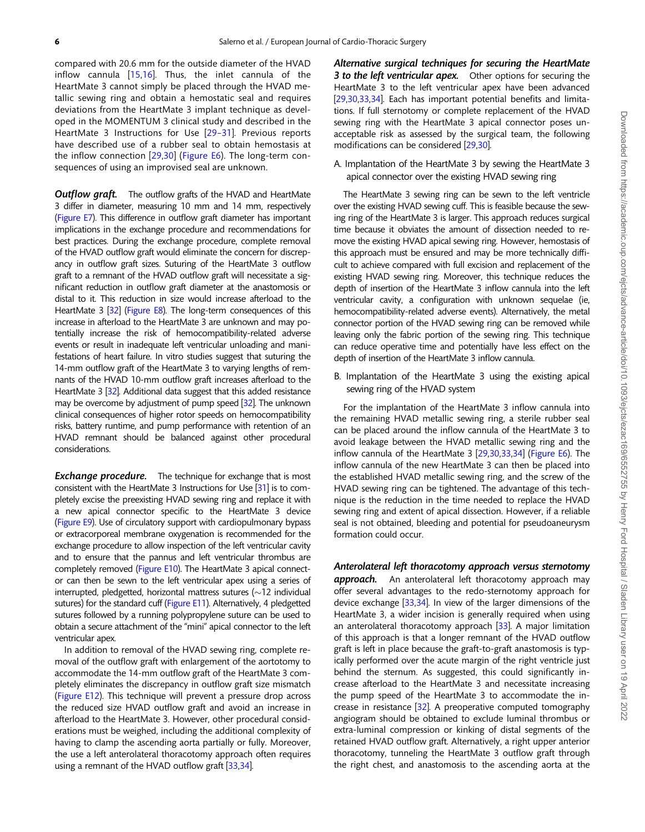<span id="page-7-0"></span>compared with 20.6 mm for the outside diameter of the HVAD inflow cannula [[15,16\]](#page-9-0). Thus, the inlet cannula of the HeartMate 3 cannot simply be placed through the HVAD metallic sewing ring and obtain a hemostatic seal and requires deviations from the HeartMate 3 implant technique as developed in the MOMENTUM 3 clinical study and described in the HeartMate 3 Instructions for Use [[29](#page-9-0)–[31](#page-9-0)]. Previous reports have described use of a rubber seal to obtain hemostasis at the inflow connection [[29](#page-9-0),[30](#page-9-0)] [\(Figure E6\)](https://academic.oup.com/ejcts/article-lookup/doi/10.1093/ejcts/ezac169#supplementary-data). The long-term consequences of using an improvised seal are unknown.

**Outflow graft.** The outflow grafts of the HVAD and HeartMate 3 differ in diameter, measuring 10 mm and 14 mm, respectively [\(Figure E7\)](https://academic.oup.com/ejcts/article-lookup/doi/10.1093/ejcts/ezac169#supplementary-data). This difference in outflow graft diameter has important implications in the exchange procedure and recommendations for best practices. During the exchange procedure, complete removal of the HVAD outflow graft would eliminate the concern for discrepancy in outflow graft sizes. Suturing of the HeartMate 3 outflow graft to a remnant of the HVAD outflow graft will necessitate a significant reduction in outflow graft diameter at the anastomosis or distal to it. This reduction in size would increase afterload to the HeartMate 3 [\[32\]](#page-9-0) ([Figure E8\)](https://academic.oup.com/ejcts/article-lookup/doi/10.1093/ejcts/ezac169#supplementary-data). The long-term consequences of this increase in afterload to the HeartMate 3 are unknown and may potentially increase the risk of hemocompatibility-related adverse events or result in inadequate left ventricular unloading and manifestations of heart failure. In vitro studies suggest that suturing the 14-mm outflow graft of the HeartMate 3 to varying lengths of remnants of the HVAD 10-mm outflow graft increases afterload to the HeartMate 3 [\[32\]](#page-9-0). Additional data suggest that this added resistance may be overcome by adjustment of pump speed [\[32\]](#page-9-0). The unknown clinical consequences of higher rotor speeds on hemocompatibility risks, battery runtime, and pump performance with retention of an HVAD remnant should be balanced against other procedural considerations.

**Exchange procedure.** The technique for exchange that is most consistent with the HeartMate 3 Instructions for Use [[31](#page-9-0)] is to completely excise the preexisting HVAD sewing ring and replace it with a new apical connector specific to the HeartMate 3 device [\(Figure E9](https://academic.oup.com/ejcts/article-lookup/doi/10.1093/ejcts/ezac169#supplementary-data)). Use of circulatory support with cardiopulmonary bypass or extracorporeal membrane oxygenation is recommended for the exchange procedure to allow inspection of the left ventricular cavity and to ensure that the pannus and left ventricular thrombus are completely removed [\(Figure E10\)](https://academic.oup.com/ejcts/article-lookup/doi/10.1093/ejcts/ezac169#supplementary-data). The HeartMate 3 apical connector can then be sewn to the left ventricular apex using a series of interrupted, pledgetted, horizontal mattress sutures ( $\sim$ 12 individual sutures) for the standard cuff ([Figure E11\)](https://academic.oup.com/ejcts/article-lookup/doi/10.1093/ejcts/ezac169#supplementary-data). Alternatively, 4 pledgetted sutures followed by a running polypropylene suture can be used to obtain a secure attachment of the "mini" apical connector to the left ventricular apex.

In addition to removal of the HVAD sewing ring, complete removal of the outflow graft with enlargement of the aortotomy to accommodate the 14-mm outflow graft of the HeartMate 3 completely eliminates the discrepancy in outflow graft size mismatch ([Figure E12](https://academic.oup.com/ejcts/article-lookup/doi/10.1093/ejcts/ezac169#supplementary-data)). This technique will prevent a pressure drop across the reduced size HVAD outflow graft and avoid an increase in afterload to the HeartMate 3. However, other procedural considerations must be weighed, including the additional complexity of having to clamp the ascending aorta partially or fully. Moreover, the use a left anterolateral thoracotomy approach often requires using a remnant of the HVAD outflow graft [[33,34](#page-9-0)].

Alternative surgical techniques for securing the HeartMate 3 to the left ventricular apex. Other options for securing the HeartMate 3 to the left ventricular apex have been advanced [\[29,30,33,34\]](#page-9-0). Each has important potential benefits and limitations. If full sternotomy or complete replacement of the HVAD sewing ring with the HeartMate 3 apical connector poses unacceptable risk as assessed by the surgical team, the following modifications can be considered [[29](#page-9-0),[30](#page-9-0)].

## A. Implantation of the HeartMate 3 by sewing the HeartMate 3 apical connector over the existing HVAD sewing ring

The HeartMate 3 sewing ring can be sewn to the left ventricle over the existing HVAD sewing cuff. This is feasible because the sewing ring of the HeartMate 3 is larger. This approach reduces surgical time because it obviates the amount of dissection needed to remove the existing HVAD apical sewing ring. However, hemostasis of this approach must be ensured and may be more technically difficult to achieve compared with full excision and replacement of the existing HVAD sewing ring. Moreover, this technique reduces the depth of insertion of the HeartMate 3 inflow cannula into the left ventricular cavity, a configuration with unknown sequelae (ie, hemocompatibility-related adverse events). Alternatively, the metal connector portion of the HVAD sewing ring can be removed while leaving only the fabric portion of the sewing ring. This technique can reduce operative time and potentially have less effect on the depth of insertion of the HeartMate 3 inflow cannula.

B. Implantation of the HeartMate 3 using the existing apical sewing ring of the HVAD system

For the implantation of the HeartMate 3 inflow cannula into the remaining HVAD metallic sewing ring, a sterile rubber seal can be placed around the inflow cannula of the HeartMate 3 to avoid leakage between the HVAD metallic sewing ring and the inflow cannula of the HeartMate 3 [[29,30,33,34](#page-9-0)] [\(Figure E6](https://academic.oup.com/ejcts/article-lookup/doi/10.1093/ejcts/ezac169#supplementary-data)). The inflow cannula of the new HeartMate 3 can then be placed into the established HVAD metallic sewing ring, and the screw of the HVAD sewing ring can be tightened. The advantage of this technique is the reduction in the time needed to replace the HVAD sewing ring and extent of apical dissection. However, if a reliable seal is not obtained, bleeding and potential for pseudoaneurysm formation could occur.

#### Anterolateral left thoracotomy approach versus sternotomy

approach. An anterolateral left thoracotomy approach may offer several advantages to the redo-sternotomy approach for device exchange [\[33,34\]](#page-9-0). In view of the larger dimensions of the HeartMate 3, a wider incision is generally required when using an anterolateral thoracotomy approach [\[33\]](#page-9-0). A major limitation of this approach is that a longer remnant of the HVAD outflow graft is left in place because the graft-to-graft anastomosis is typically performed over the acute margin of the right ventricle just behind the sternum. As suggested, this could significantly increase afterload to the HeartMate 3 and necessitate increasing the pump speed of the HeartMate 3 to accommodate the increase in resistance  $[32]$  $[32]$ . A preoperative computed tomography angiogram should be obtained to exclude luminal thrombus or extra-luminal compression or kinking of distal segments of the retained HVAD outflow graft. Alternatively, a right upper anterior thoracotomy, tunneling the HeartMate 3 outflow graft through the right chest, and anastomosis to the ascending aorta at the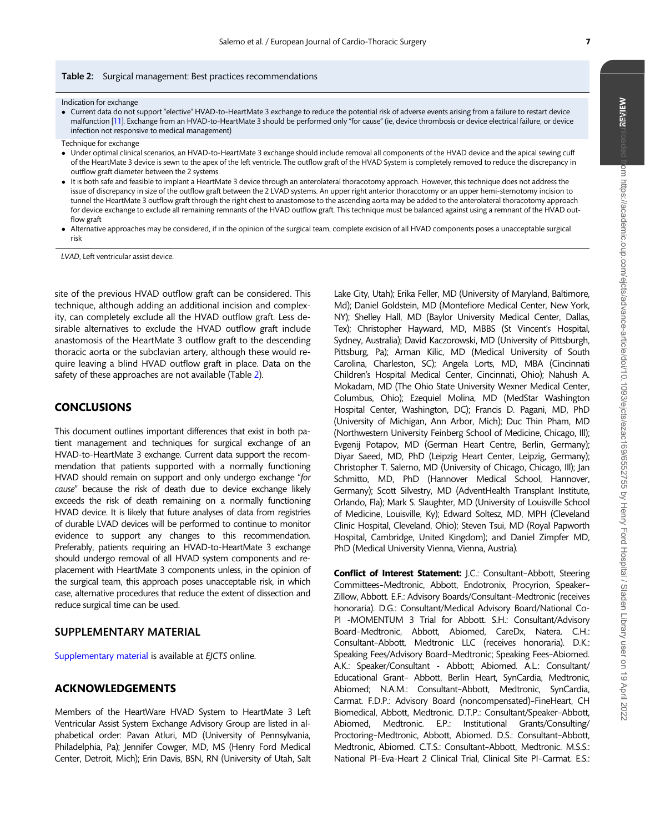#### <span id="page-8-0"></span>Table 2: Surgical management: Best practices recommendations

Indication for exchange

- Current data do not support "elective" HVAD-to-HeartMate 3 exchange to reduce the potential risk of adverse events arising from a failure to restart device malfunction [[11](#page-9-0)]. Exchange from an HVAD-to-HeartMate 3 should be performed only "for cause" (ie, device thrombosis or device electrical failure, or device infection not responsive to medical management)
- Technique for exchange
- Under optimal clinical scenarios, an HVAD-to-HeartMate 3 exchange should include removal all components of the HVAD device and the apical sewing cuff of the HeartMate 3 device is sewn to the apex of the left ventricle. The outflow graft of the HVAD System is completely removed to reduce the discrepancy in outflow graft diameter between the 2 systems
- It is both safe and feasible to implant a HeartMate 3 device through an anterolateral thoracotomy approach. However, this technique does not address the issue of discrepancy in size of the outflow graft between the 2 LVAD systems. An upper right anterior thoracotomy or an upper hemi-sternotomy incision to tunnel the HeartMate 3 outflow graft through the right chest to anastomose to the ascending aorta may be added to the anterolateral thoracotomy approach for device exchange to exclude all remaining remnants of the HVAD outflow graft. This technique must be balanced against using a remnant of the HVAD outflow graft
- Alternative approaches may be considered, if in the opinion of the surgical team, complete excision of all HVAD components poses a unacceptable surgical risk

LVAD, Left ventricular assist device.

site of the previous HVAD outflow graft can be considered. This technique, although adding an additional incision and complexity, can completely exclude all the HVAD outflow graft. Less desirable alternatives to exclude the HVAD outflow graft include anastomosis of the HeartMate 3 outflow graft to the descending thoracic aorta or the subclavian artery, although these would require leaving a blind HVAD outflow graft in place. Data on the safety of these approaches are not available (Table 2).

## CONCLUSIONS

This document outlines important differences that exist in both patient management and techniques for surgical exchange of an HVAD-to-HeartMate 3 exchange. Current data support the recommendation that patients supported with a normally functioning HVAD should remain on support and only undergo exchange "for cause" because the risk of death due to device exchange likely exceeds the risk of death remaining on a normally functioning HVAD device. It is likely that future analyses of data from registries of durable LVAD devices will be performed to continue to monitor evidence to support any changes to this recommendation. Preferably, patients requiring an HVAD-to-HeartMate 3 exchange should undergo removal of all HVAD system components and replacement with HeartMate 3 components unless, in the opinion of the surgical team, this approach poses unacceptable risk, in which case, alternative procedures that reduce the extent of dissection and reduce surgical time can be used.

## SUPPLEMENTARY MATERIAL

[Supplementary material](https://academic.oup.com/ejcts/article-lookup/doi/10.1093/ejcts/ezac169#supplementary-data) is available at EJCTS online.

## ACKNOWLEDGEMENTS

Members of the HeartWare HVAD System to HeartMate 3 Left Ventricular Assist System Exchange Advisory Group are listed in alphabetical order: Pavan Atluri, MD (University of Pennsylvania, Philadelphia, Pa); Jennifer Cowger, MD, MS (Henry Ford Medical Center, Detroit, Mich); Erin Davis, BSN, RN (University of Utah, Salt

Lake City, Utah); Erika Feller, MD (University of Maryland, Baltimore, Md); Daniel Goldstein, MD (Montefiore Medical Center, New York, NY); Shelley Hall, MD (Baylor University Medical Center, Dallas, Tex); Christopher Hayward, MD, MBBS (St Vincent's Hospital, Sydney, Australia); David Kaczorowski, MD (University of Pittsburgh, Pittsburg, Pa); Arman Kilic, MD (Medical University of South Carolina, Charleston, SC); Angela Lorts, MD, MBA (Cincinnati Children's Hospital Medical Center, Cincinnati, Ohio); Nahush A. Mokadam, MD (The Ohio State University Wexner Medical Center, Columbus, Ohio); Ezequiel Molina, MD (MedStar Washington Hospital Center, Washington, DC); Francis D. Pagani, MD, PhD (University of Michigan, Ann Arbor, Mich); Duc Thin Pham, MD (Northwestern University Feinberg School of Medicine, Chicago, Ill); Evgenij Potapov, MD (German Heart Centre, Berlin, Germany); Diyar Saeed, MD, PhD (Leipzig Heart Center, Leipzig, Germany); Christopher T. Salerno, MD (University of Chicago, Chicago, Ill); Jan Schmitto, MD, PhD (Hannover Medical School, Hannover, Germany); Scott Silvestry, MD (AdventHealth Transplant Institute, Orlando, Fla); Mark S. Slaughter, MD (University of Louisville School of Medicine, Louisville, Ky); Edward Soltesz, MD, MPH (Cleveland Clinic Hospital, Cleveland, Ohio); Steven Tsui, MD (Royal Papworth Hospital, Cambridge, United Kingdom); and Daniel Zimpfer MD, PhD (Medical University Vienna, Vienna, Austria).

Conflict of Interest Statement: J.C.: Consultant–Abbott, Steering Committees–Medtronic, Abbott, Endotronix, Procyrion, Speaker– Zillow, Abbott. E.F.: Advisory Boards/Consultant–Medtronic (receives honoraria). D.G.: Consultant/Medical Advisory Board/National Co-PI -MOMENTUM 3 Trial for Abbott. S.H.: Consultant/Advisory Board–Medtronic, Abbott, Abiomed, CareDx, Natera. C.H.: Consultant–Abbott, Medtronic LLC (receives honoraria). D.K.: Speaking Fees/Advisory Board–Medtronic; Speaking Fees–Abiomed. A.K.: Speaker/Consultant - Abbott; Abiomed. A.L.: Consultant/ Educational Grant– Abbott, Berlin Heart, SynCardia, Medtronic, Abiomed; N.A.M.: Consultant–Abbott, Medtronic, SynCardia, Carmat. F.D.P.: Advisory Board (noncompensated)–FineHeart, CH Biomedical, Abbott, Medtronic. D.T.P.: Consultant/Speaker–Abbott, Abiomed, Medtronic. E.P.: Institutional Grants/Consulting/ Proctoring–Medtronic, Abbott, Abiomed. D.S.: Consultant–Abbott, Medtronic, Abiomed. C.T.S.: Consultant–Abbott, Medtronic. M.S.S.: National PI–Eva-Heart 2 Clinical Trial, Clinical Site PI–Carmat. E.S.: